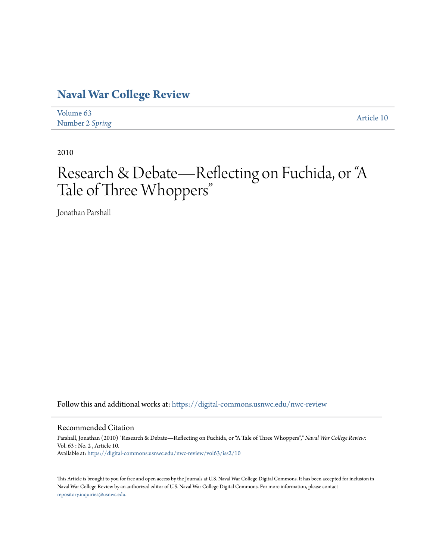## **[Naval War College Review](https://digital-commons.usnwc.edu/nwc-review?utm_source=digital-commons.usnwc.edu%2Fnwc-review%2Fvol63%2Fiss2%2F10&utm_medium=PDF&utm_campaign=PDFCoverPages)**

| Volume 63       | Article 10 |
|-----------------|------------|
| Number 2 Spring |            |

2010

# Research & Debate—Reflecting on Fuchida, or "A Tale of Three Whoppers "

Jonathan Parshall

Follow this and additional works at: [https://digital-commons.usnwc.edu/nwc-review](https://digital-commons.usnwc.edu/nwc-review?utm_source=digital-commons.usnwc.edu%2Fnwc-review%2Fvol63%2Fiss2%2F10&utm_medium=PDF&utm_campaign=PDFCoverPages)

## Recommended Citation

Parshall, Jonathan (2010) "Research & Debate—Reflecting on Fuchida, or "A Tale of Three Whoppers"," *Naval War College Review*: Vol. 63 : No. 2 , Article 10. Available at: [https://digital-commons.usnwc.edu/nwc-review/vol63/iss2/10](https://digital-commons.usnwc.edu/nwc-review/vol63/iss2/10?utm_source=digital-commons.usnwc.edu%2Fnwc-review%2Fvol63%2Fiss2%2F10&utm_medium=PDF&utm_campaign=PDFCoverPages)

This Article is brought to you for free and open access by the Journals at U.S. Naval War College Digital Commons. It has been accepted for inclusion in Naval War College Review by an authorized editor of U.S. Naval War College Digital Commons. For more information, please contact [repository.inquiries@usnwc.edu](mailto:repository.inquiries@usnwc.edu).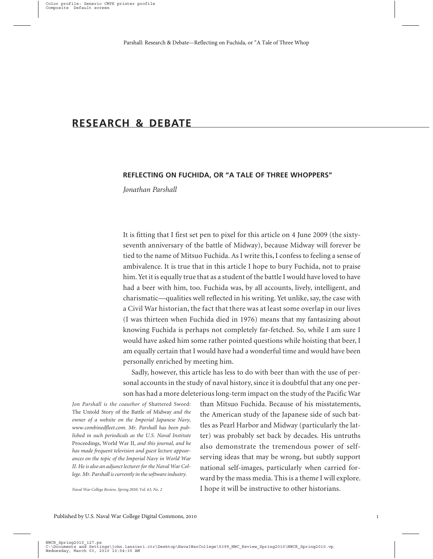## **RESEARCH & DEBATE**

## **REFLECTING ON FUCHIDA, OR "A TALE OF THREE WHOPPERS"**

*Jonathan Parshall*

It is fitting that I first set pen to pixel for this article on 4 June 2009 (the sixtyseventh anniversary of the battle of Midway), because Midway will forever be tied to the name of Mitsuo Fuchida. As I write this, I confess to feeling a sense of ambivalence. It is true that in this article I hope to bury Fuchida, not to praise him. Yet it is equally true that as a student of the battle I would have loved to have had a beer with him, too. Fuchida was, by all accounts, lively, intelligent, and charismatic—qualities well reflected in his writing. Yet unlike, say, the case with a Civil War historian, the fact that there was at least some overlap in our lives (I was thirteen when Fuchida died in 1976) means that my fantasizing about knowing Fuchida is perhaps not completely far-fetched. So, while I am sure I would have asked him some rather pointed questions while hoisting that beer, I am equally certain that I would have had a wonderful time and would have been personally enriched by meeting him.

Sadly, however, this article has less to do with beer than with the use of personal accounts in the study of naval history, since it is doubtful that any one person has had a more deleterious long-term impact on the study of the Pacific War

*Jon Parshall is the coauthor of* Shattered Sword: The Untold Story of the Battle of Midway *and the owner of a website on the Imperial Japanese Navy, www.combinedfleet.com. Mr. Parshall has been published in such periodicals as the U.S. Naval Institute* Proceedings, World War II, *and this journal, and he has made frequent television and guest lecture appearances on the topic of the Imperial Navy in World War II. He is also an adjunct lecturer for the Naval War College. Mr. Parshall is currently in the software industry.*

than Mitsuo Fuchida. Because of his misstatements, the American study of the Japanese side of such battles as Pearl Harbor and Midway (particularly the latter) was probably set back by decades. His untruths also demonstrate the tremendous power of selfserving ideas that may be wrong, but subtly support national self-images, particularly when carried forward by the mass media. This is a theme I will explore. I hope it will be instructive to other historians.

*Naval War College Review, Spring 2010, Vol. 63, No. 2*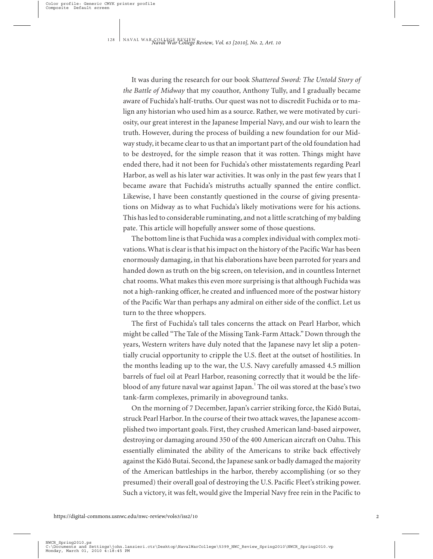It was during the research for our book *Shattered Sword: The Untold Story of the Battle of Midway* that my coauthor, Anthony Tully, and I gradually became aware of Fuchida's half-truths. Our quest was not to discredit Fuchida or to malign any historian who used him as a source. Rather, we were motivated by curiosity, our great interest in the Japanese Imperial Navy, and our wish to learn the truth. However, during the process of building a new foundation for our Midway study, it became clear to us that an important part of the old foundation had to be destroyed, for the simple reason that it was rotten. Things might have ended there, had it not been for Fuchida's other misstatements regarding Pearl Harbor, as well as his later war activities. It was only in the past few years that I became aware that Fuchida's mistruths actually spanned the entire conflict. Likewise, I have been constantly questioned in the course of giving presentations on Midway as to what Fuchida's likely motivations were for his actions. This has led to considerable ruminating, and not a little scratching of my balding pate. This article will hopefully answer some of those questions.

The bottom line is that Fuchida was a complex individual with complex motivations. What is clear is that his impact on the history of the Pacific War has been enormously damaging, in that his elaborations have been parroted for years and handed down as truth on the big screen, on television, and in countless Internet chat rooms. What makes this even more surprising is that although Fuchida was not a high-ranking officer, he created and influenced more of the postwar history of the Pacific War than perhaps any admiral on either side of the conflict. Let us turn to the three whoppers.

The first of Fuchida's tall tales concerns the attack on Pearl Harbor, which might be called "The Tale of the Missing Tank-Farm Attack." Down through the years, Western writers have duly noted that the Japanese navy let slip a potentially crucial opportunity to cripple the U.S. fleet at the outset of hostilities. In the months leading up to the war, the U.S. Navy carefully amassed 4.5 million barrels of fuel oil at Pearl Harbor, reasoning correctly that it would be the lifeblood of any future naval war against Japan. <sup>1</sup> The oil was stored at the base's two tank-farm complexes, primarily in aboveground tanks.

On the morning of 7 December, Japan's carrier striking force, the Kidô Butai, struck Pearl Harbor. In the course of their two attack waves, the Japanese accomplished two important goals. First, they crushed American land-based airpower, destroying or damaging around 350 of the 400 American aircraft on Oahu. This essentially eliminated the ability of the Americans to strike back effectively against the Kidô Butai. Second, the Japanese sank or badly damaged the majority of the American battleships in the harbor, thereby accomplishing (or so they presumed) their overall goal of destroying the U.S. Pacific Fleet's striking power. Such a victory, it was felt, would give the Imperial Navy free rein in the Pacific to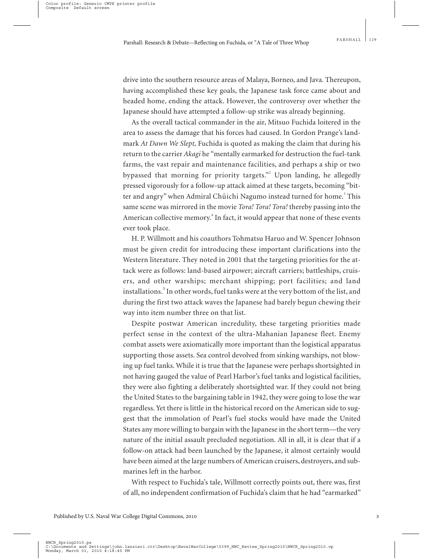drive into the southern resource areas of Malaya, Borneo, and Java. Thereupon, having accomplished these key goals, the Japanese task force came about and headed home, ending the attack. However, the controversy over whether the Japanese should have attempted a follow-up strike was already beginning.

As the overall tactical commander in the air, Mitsuo Fuchida loitered in the area to assess the damage that his forces had caused. In Gordon Prange's landmark *At Dawn We Slept,* Fuchida is quoted as making the claim that during his return to the carrier *Akagi* he "mentally earmarked for destruction the fuel-tank farms, the vast repair and maintenance facilities, and perhaps a ship or two bypassed that morning for priority targets."<sup>2</sup> Upon landing, he allegedly pressed vigorously for a follow-up attack aimed at these targets, becoming "bitter and angry" when Admiral Chūichi Nagumo instead turned for home.<sup>3</sup> This same scene was mirrored in the movie *Tora! Tora! Tora!* thereby passing into the American collective memory.<sup>4</sup> In fact, it would appear that none of these events ever took place.

H. P. Willmott and his coauthors Tohmatsu Haruo and W. Spencer Johnson must be given credit for introducing these important clarifications into the Western literature. They noted in 2001 that the targeting priorities for the attack were as follows: land-based airpower; aircraft carriers; battleships, cruisers, and other warships; merchant shipping; port facilities; and land installations. $^{\mathrm{5}}$  In other words, fuel tanks were at the very bottom of the list, and during the first two attack waves the Japanese had barely begun chewing their way into item number three on that list.

Despite postwar American incredulity, these targeting priorities made perfect sense in the context of the ultra-Mahanian Japanese fleet. Enemy combat assets were axiomatically more important than the logistical apparatus supporting those assets. Sea control devolved from sinking warships, not blowing up fuel tanks. While it is true that the Japanese were perhaps shortsighted in not having gauged the value of Pearl Harbor's fuel tanks and logistical facilities, they were also fighting a deliberately shortsighted war. If they could not bring the United States to the bargaining table in 1942, they were going to lose the war regardless. Yet there is little in the historical record on the American side to suggest that the immolation of Pearl's fuel stocks would have made the United States any more willing to bargain with the Japanese in the short term—the very nature of the initial assault precluded negotiation. All in all, it is clear that if a follow-on attack had been launched by the Japanese, it almost certainly would have been aimed at the large numbers of American cruisers, destroyers, and submarines left in the harbor.

With respect to Fuchida's tale, Willmott correctly points out, there was, first of all, no independent confirmation of Fuchida's claim that he had "earmarked"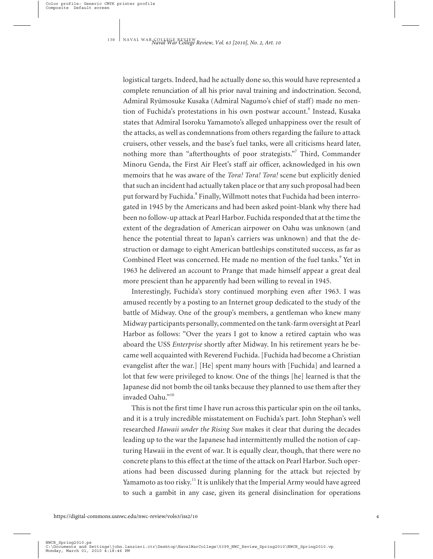logistical targets. Indeed, had he actually done so, this would have represented a complete renunciation of all his prior naval training and indoctrination. Second, Admiral Ryūmosuke Kusaka (Admiral Nagumo's chief of staff) made no mention of Fuchida's protestations in his own postwar account.<sup>6</sup> Instead, Kusaka states that Admiral Isoroku Yamamoto's alleged unhappiness over the result of the attacks, as well as condemnations from others regarding the failure to attack cruisers, other vessels, and the base's fuel tanks, were all criticisms heard later, nothing more than "afterthoughts of poor strategists."<sup>7</sup> Third, Commander Minoru Genda, the First Air Fleet's staff air officer, acknowledged in his own memoirs that he was aware of the *Tora! Tora! Tora!* scene but explicitly denied that such an incident had actually taken place or that any such proposal had been put forward by Fuchida.<sup>8</sup> Finally, Willmott notes that Fuchida had been interrogated in 1945 by the Americans and had been asked point-blank why there had been no follow-up attack at Pearl Harbor. Fuchida responded that at the time the extent of the degradation of American airpower on Oahu was unknown (and hence the potential threat to Japan's carriers was unknown) and that the destruction or damage to eight American battleships constituted success, as far as Combined Fleet was concerned. He made no mention of the fuel tanks.<sup>9</sup> Yet in 1963 he delivered an account to Prange that made himself appear a great deal more prescient than he apparently had been willing to reveal in 1945.

Interestingly, Fuchida's story continued morphing even after 1963. I was amused recently by a posting to an Internet group dedicated to the study of the battle of Midway. One of the group's members, a gentleman who knew many Midway participants personally, commented on the tank-farm oversight at Pearl Harbor as follows: "Over the years I got to know a retired captain who was aboard the USS *Enterprise* shortly after Midway. In his retirement years he became well acquainted with Reverend Fuchida. [Fuchida had become a Christian evangelist after the war.] [He] spent many hours with [Fuchida] and learned a lot that few were privileged to know. One of the things [he] learned is that the Japanese did not bomb the oil tanks because they planned to use them after they invaded Oahu."<sup>10</sup>

This is not the first time I have run across this particular spin on the oil tanks, and it is a truly incredible misstatement on Fuchida's part. John Stephan's well researched *Hawaii under the Rising Sun* makes it clear that during the decades leading up to the war the Japanese had intermittently mulled the notion of capturing Hawaii in the event of war. It is equally clear, though, that there were no concrete plans to this effect at the time of the attack on Pearl Harbor. Such operations had been discussed during planning for the attack but rejected by Yamamoto as too risky.<sup>11</sup> It is unlikely that the Imperial Army would have agreed to such a gambit in any case, given its general disinclination for operations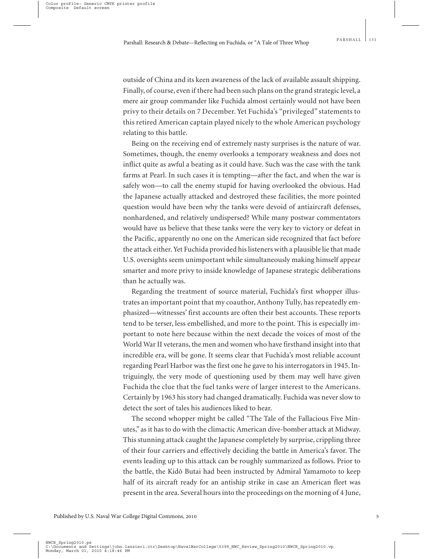outside of China and its keen awareness of the lack of available assault shipping. Finally, of course, even if there had been such plans on the grand strategic level, a mere air group commander like Fuchida almost certainly would not have been privy to their details on 7 December. Yet Fuchida's "privileged" statements to this retired American captain played nicely to the whole American psychology relating to this battle.

Being on the receiving end of extremely nasty surprises is the nature of war. Sometimes, though, the enemy overlooks a temporary weakness and does not inflict quite as awful a beating as it could have. Such was the case with the tank farms at Pearl. In such cases it is tempting—after the fact, and when the war is safely won—to call the enemy stupid for having overlooked the obvious. Had the Japanese actually attacked and destroyed these facilities, the more pointed question would have been why the tanks were devoid of antiaircraft defenses, nonhardened, and relatively undispersed? While many postwar commentators would have us believe that these tanks were the very key to victory or defeat in the Pacific, apparently no one on the American side recognized that fact before the attack either. Yet Fuchida provided his listeners with a plausible lie that made U.S. oversights seem unimportant while simultaneously making himself appear smarter and more privy to inside knowledge of Japanese strategic deliberations than he actually was.

Regarding the treatment of source material, Fuchida's first whopper illustrates an important point that my coauthor, Anthony Tully, has repeatedly emphasized—witnesses' first accounts are often their best accounts. These reports tend to be terser, less embellished, and more to the point. This is especially important to note here because within the next decade the voices of most of the World War II veterans, the men and women who have firsthand insight into that incredible era, will be gone. It seems clear that Fuchida's most reliable account regarding Pearl Harbor was the first one he gave to his interrogators in 1945. Intriguingly, the very mode of questioning used by them may well have given Fuchida the clue that the fuel tanks were of larger interest to the Americans. Certainly by 1963 his story had changed dramatically. Fuchida was never slow to detect the sort of tales his audiences liked to hear.

The second whopper might be called "The Tale of the Fallacious Five Minutes," as it has to do with the climactic American dive-bomber attack at Midway. This stunning attack caught the Japanese completely by surprise, crippling three of their four carriers and effectively deciding the battle in America's favor. The events leading up to this attack can be roughly summarized as follows. Prior to the battle, the Kidô Butai had been instructed by Admiral Yamamoto to keep half of its aircraft ready for an antiship strike in case an American fleet was present in the area. Several hours into the proceedings on the morning of 4 June,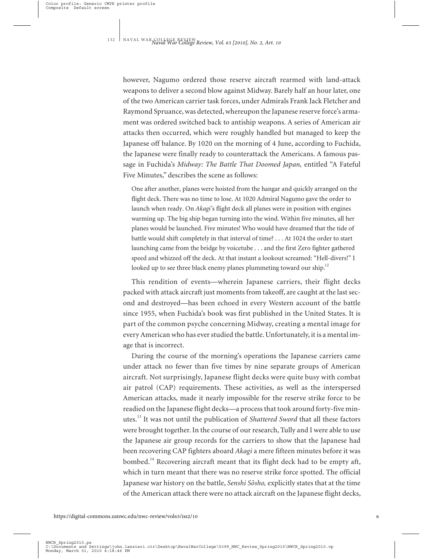however, Nagumo ordered those reserve aircraft rearmed with land-attack weapons to deliver a second blow against Midway. Barely half an hour later, one of the two American carrier task forces, under Admirals Frank Jack Fletcher and Raymond Spruance, was detected, whereupon the Japanese reserve force's armament was ordered switched back to antiship weapons. A series of American air attacks then occurred, which were roughly handled but managed to keep the Japanese off balance. By 1020 on the morning of 4 June, according to Fuchida, the Japanese were finally ready to counterattack the Americans. A famous passage in Fuchida's *Midway: The Battle That Doomed Japan,* entitled "A Fateful Five Minutes," describes the scene as follows:

One after another, planes were hoisted from the hangar and quickly arranged on the flight deck. There was no time to lose. At 1020 Admiral Nagumo gave the order to launch when ready. On *Akagi'*s flight deck all planes were in position with engines warming up. The big ship began turning into the wind. Within five minutes, all her planes would be launched. Five minutes! Who would have dreamed that the tide of battle would shift completely in that interval of time? . . . At 1024 the order to start launching came from the bridge by voicetube . . . and the first Zero fighter gathered speed and whizzed off the deck. At that instant a lookout screamed: "Hell-divers!" I looked up to see three black enemy planes plummeting toward our ship.<sup>12</sup>

This rendition of events—wherein Japanese carriers, their flight decks packed with attack aircraft just moments from takeoff, are caught at the last second and destroyed—has been echoed in every Western account of the battle since 1955, when Fuchida's book was first published in the United States. It is part of the common psyche concerning Midway, creating a mental image for every American who has ever studied the battle. Unfortunately, it is a mental image that is incorrect.

During the course of the morning's operations the Japanese carriers came under attack no fewer than five times by nine separate groups of American aircraft. Not surprisingly, Japanese flight decks were quite busy with combat air patrol (CAP) requirements. These activities, as well as the interspersed American attacks, made it nearly impossible for the reserve strike force to be readied on the Japanese flight decks—a process that took around forty-five minutes.<sup>13</sup> It was not until the publication of *Shattered Sword* that all these factors were brought together. In the course of our research, Tully and I were able to use the Japanese air group records for the carriers to show that the Japanese had been recovering CAP fighters aboard *Akagi* a mere fifteen minutes before it was bombed.<sup>14</sup> Recovering aircraft meant that its flight deck had to be empty aft, which in turn meant that there was no reserve strike force spotted. The official Japanese war history on the battle, *Senshi Sōsho*, explicitly states that at the time of the American attack there were no attack aircraft on the Japanese flight decks,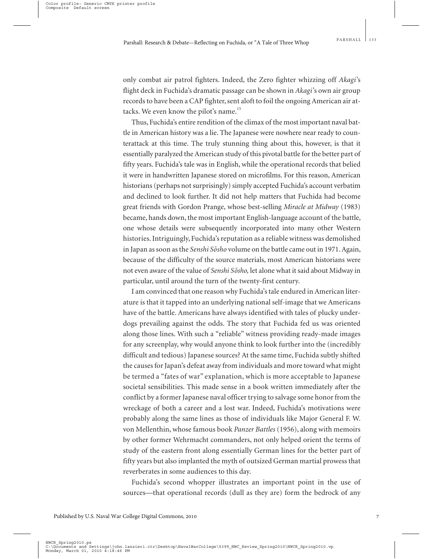only combat air patrol fighters. Indeed, the Zero fighter whizzing off *Akagi'*s flight deck in Fuchida's dramatic passage can be shown in *Akagi'*s own air group records to have been a CAP fighter, sent aloft to foil the ongoing American air attacks. We even know the pilot's name.<sup>15</sup>

Thus, Fuchida's entire rendition of the climax of the most important naval battle in American history was a lie. The Japanese were nowhere near ready to counterattack at this time. The truly stunning thing about this, however, is that it essentially paralyzed the American study of this pivotal battle for the better part of fifty years. Fuchida's tale was in English, while the operational records that belied it were in handwritten Japanese stored on microfilms. For this reason, American historians (perhaps not surprisingly) simply accepted Fuchida's account verbatim and declined to look further. It did not help matters that Fuchida had become great friends with Gordon Prange, whose best-selling *Miracle at Midway* (1983) became, hands down, the most important English-language account of the battle, one whose details were subsequently incorporated into many other Western histories. Intriguingly, Fuchida's reputation as a reliable witness was demolished in Japan as soon as the *Senshi So-sho* volume on the battle came out in 1971. Again, because of the difficulty of the source materials, most American historians were not even aware of the value of *Senshi So-sho,* let alone what it said about Midway in particular, until around the turn of the twenty-first century.

I am convinced that one reason why Fuchida's tale endured in American literature is that it tapped into an underlying national self-image that we Americans have of the battle. Americans have always identified with tales of plucky underdogs prevailing against the odds. The story that Fuchida fed us was oriented along those lines. With such a "reliable" witness providing ready-made images for any screenplay, why would anyone think to look further into the (incredibly difficult and tedious) Japanese sources? At the same time, Fuchida subtly shifted the causes for Japan's defeat away from individuals and more toward what might be termed a "fates of war" explanation, which is more acceptable to Japanese societal sensibilities. This made sense in a book written immediately after the conflict by a former Japanese naval officer trying to salvage some honor from the wreckage of both a career and a lost war. Indeed, Fuchida's motivations were probably along the same lines as those of individuals like Major General F. W. von Mellenthin, whose famous book *Panzer Battles* (1956), along with memoirs by other former Wehrmacht commanders, not only helped orient the terms of study of the eastern front along essentially German lines for the better part of fifty years but also implanted the myth of outsized German martial prowess that reverberates in some audiences to this day.

Fuchida's second whopper illustrates an important point in the use of sources—that operational records (dull as they are) form the bedrock of any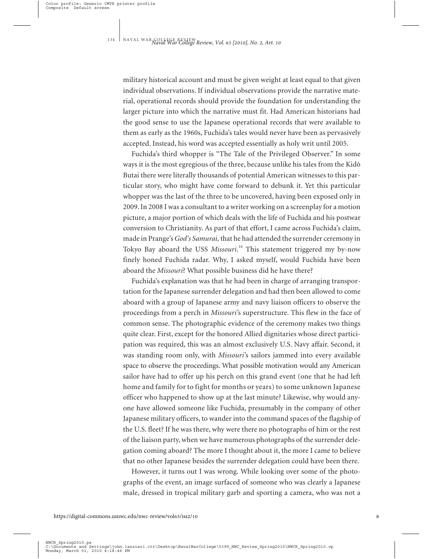military historical account and must be given weight at least equal to that given individual observations. If individual observations provide the narrative material, operational records should provide the foundation for understanding the larger picture into which the narrative must fit. Had American historians had the good sense to use the Japanese operational records that were available to them as early as the 1960s, Fuchida's tales would never have been as pervasively accepted. Instead, his word was accepted essentially as holy writ until 2005.

Fuchida's third whopper is "The Tale of the Privileged Observer." In some ways it is the most egregious of the three, because unlike his tales from the Kidô Butai there were literally thousands of potential American witnesses to this particular story, who might have come forward to debunk it. Yet this particular whopper was the last of the three to be uncovered, having been exposed only in 2009. In 2008 I was a consultant to a writer working on a screenplay for a motion picture, a major portion of which deals with the life of Fuchida and his postwar conversion to Christianity. As part of that effort, I came across Fuchida's claim, made in Prange's*God's Samurai,* that he had attended the surrender ceremony in Tokyo Bay aboard the USS *Missouri*. <sup>16</sup> This statement triggered my by-now finely honed Fuchida radar. Why, I asked myself, would Fuchida have been aboard the *Missouri*? What possible business did he have there?

Fuchida's explanation was that he had been in charge of arranging transportation for the Japanese surrender delegation and had then been allowed to come aboard with a group of Japanese army and navy liaison officers to observe the proceedings from a perch in *Missouri'*s superstructure. This flew in the face of common sense. The photographic evidence of the ceremony makes two things quite clear. First, except for the honored Allied dignitaries whose direct participation was required, this was an almost exclusively U.S. Navy affair. Second, it was standing room only, with *Missouri'*s sailors jammed into every available space to observe the proceedings. What possible motivation would any American sailor have had to offer up his perch on this grand event (one that he had left home and family for to fight for months or years) to some unknown Japanese officer who happened to show up at the last minute? Likewise, why would anyone have allowed someone like Fuchida, presumably in the company of other Japanese military officers, to wander into the command spaces of the flagship of the U.S. fleet? If he was there, why were there no photographs of him or the rest of the liaison party, when we have numerous photographs of the surrender delegation coming aboard? The more I thought about it, the more I came to believe that no other Japanese besides the surrender delegation could have been there.

However, it turns out I was wrong. While looking over some of the photographs of the event, an image surfaced of someone who was clearly a Japanese male, dressed in tropical military garb and sporting a camera, who was not a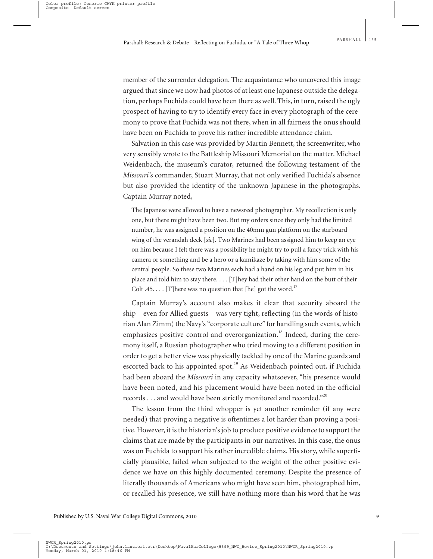member of the surrender delegation. The acquaintance who uncovered this image argued that since we now had photos of at least one Japanese outside the delegation, perhaps Fuchida could have been there as well. This, in turn, raised the ugly prospect of having to try to identify every face in every photograph of the ceremony to prove that Fuchida was not there, when in all fairness the onus should have been on Fuchida to prove his rather incredible attendance claim.

Salvation in this case was provided by Martin Bennett, the screenwriter, who very sensibly wrote to the Battleship Missouri Memorial on the matter. Michael Weidenbach, the museum's curator, returned the following testament of the *Missouri'*s commander, Stuart Murray, that not only verified Fuchida's absence but also provided the identity of the unknown Japanese in the photographs. Captain Murray noted,

The Japanese were allowed to have a newsreel photographer. My recollection is only one, but there might have been two. But my orders since they only had the limited number, he was assigned a position on the 40mm gun platform on the starboard wing of the verandah deck [*sic*]. Two Marines had been assigned him to keep an eye on him because I felt there was a possibility he might try to pull a fancy trick with his camera or something and be a hero or a kamikaze by taking with him some of the central people. So these two Marines each had a hand on his leg and put him in his place and told him to stay there. . . . [T]hey had their other hand on the butt of their Colt .45. . . . [T] here was no question that [he] got the word.<sup>17</sup>

Captain Murray's account also makes it clear that security aboard the ship—even for Allied guests—was very tight, reflecting (in the words of historian Alan Zimm) the Navy's "corporate culture" for handling such events, which emphasizes positive control and overorganization.<sup>18</sup> Indeed, during the ceremony itself, a Russian photographer who tried moving to a different position in order to get a better view was physically tackled by one of the Marine guards and escorted back to his appointed spot.<sup>19</sup> As Weidenbach pointed out, if Fuchida had been aboard the *Missouri* in any capacity whatsoever, "his presence would have been noted, and his placement would have been noted in the official records  $\dots$  and would have been strictly monitored and recorded."

The lesson from the third whopper is yet another reminder (if any were needed) that proving a negative is oftentimes a lot harder than proving a positive. However, it is the historian's job to produce positive evidence to support the claims that are made by the participants in our narratives. In this case, the onus was on Fuchida to support his rather incredible claims. His story, while superficially plausible, failed when subjected to the weight of the other positive evidence we have on this highly documented ceremony. Despite the presence of literally thousands of Americans who might have seen him, photographed him, or recalled his presence, we still have nothing more than his word that he was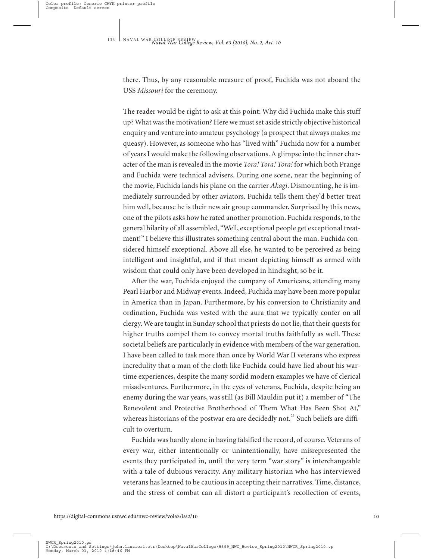there. Thus, by any reasonable measure of proof, Fuchida was not aboard the USS *Missouri* for the ceremony.

The reader would be right to ask at this point: Why did Fuchida make this stuff up? What was the motivation? Here we must set aside strictly objective historical enquiry and venture into amateur psychology (a prospect that always makes me queasy). However, as someone who has "lived with" Fuchida now for a number of years I would make the following observations. A glimpse into the inner character of the man is revealed in the movie *Tora! Tora! Tora!* for which both Prange and Fuchida were technical advisers. During one scene, near the beginning of the movie, Fuchida lands his plane on the carrier *Akagi*. Dismounting, he is immediately surrounded by other aviators. Fuchida tells them they'd better treat him well, because he is their new air group commander. Surprised by this news, one of the pilots asks how he rated another promotion. Fuchida responds, to the general hilarity of all assembled, "Well, exceptional people get exceptional treatment!" I believe this illustrates something central about the man. Fuchida considered himself exceptional. Above all else, he wanted to be perceived as being intelligent and insightful, and if that meant depicting himself as armed with wisdom that could only have been developed in hindsight, so be it.

After the war, Fuchida enjoyed the company of Americans, attending many Pearl Harbor and Midway events. Indeed, Fuchida may have been more popular in America than in Japan. Furthermore, by his conversion to Christianity and ordination, Fuchida was vested with the aura that we typically confer on all clergy. We are taught in Sunday school that priests do not lie, that their quests for higher truths compel them to convey mortal truths faithfully as well. These societal beliefs are particularly in evidence with members of the war generation. I have been called to task more than once by World War II veterans who express incredulity that a man of the cloth like Fuchida could have lied about his wartime experiences, despite the many sordid modern examples we have of clerical misadventures. Furthermore, in the eyes of veterans, Fuchida, despite being an enemy during the war years, was still (as Bill Mauldin put it) a member of "The Benevolent and Protective Brotherhood of Them What Has Been Shot At," whereas historians of the postwar era are decidedly not.<sup>21</sup> Such beliefs are difficult to overturn.

Fuchida was hardly alone in having falsified the record, of course. Veterans of every war, either intentionally or unintentionally, have misrepresented the events they participated in, until the very term "war story" is interchangeable with a tale of dubious veracity. Any military historian who has interviewed veterans has learned to be cautious in accepting their narratives. Time, distance, and the stress of combat can all distort a participant's recollection of events,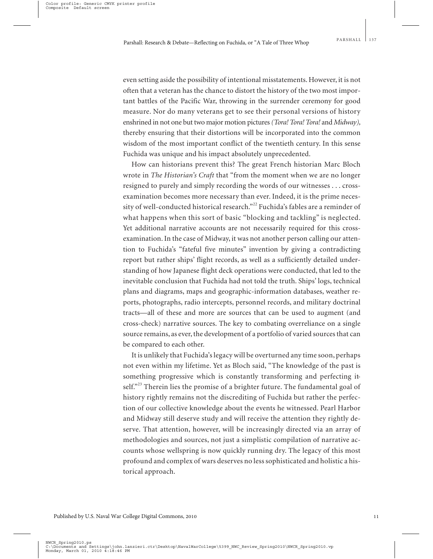even setting aside the possibility of intentional misstatements. However, it is not often that a veteran has the chance to distort the history of the two most important battles of the Pacific War, throwing in the surrender ceremony for good measure. Nor do many veterans get to see their personal versions of history enshrined in not one but two major motion pictures*(Tora! Tora! Tora!* and *Midway),* thereby ensuring that their distortions will be incorporated into the common wisdom of the most important conflict of the twentieth century. In this sense Fuchida was unique and his impact absolutely unprecedented.

How can historians prevent this? The great French historian Marc Bloch wrote in *The Historian's Craft* that "from the moment when we are no longer resigned to purely and simply recording the words of our witnesses . . . crossexamination becomes more necessary than ever. Indeed, it is the prime necessity of well-conducted historical research."<sup>22</sup> Fuchida's fables are a reminder of what happens when this sort of basic "blocking and tackling" is neglected. Yet additional narrative accounts are not necessarily required for this crossexamination. In the case of Midway, it was not another person calling our attention to Fuchida's "fateful five minutes" invention by giving a contradicting report but rather ships' flight records, as well as a sufficiently detailed understanding of how Japanese flight deck operations were conducted, that led to the inevitable conclusion that Fuchida had not told the truth. Ships' logs, technical plans and diagrams, maps and geographic-information databases, weather reports, photographs, radio intercepts, personnel records, and military doctrinal tracts—all of these and more are sources that can be used to augment (and cross-check) narrative sources. The key to combating overreliance on a single source remains, as ever, the development of a portfolio of varied sources that can be compared to each other.

It is unlikely that Fuchida's legacy will be overturned any time soon, perhaps not even within my lifetime. Yet as Bloch said, "The knowledge of the past is something progressive which is constantly transforming and perfecting itself."<sup>23</sup> Therein lies the promise of a brighter future. The fundamental goal of history rightly remains not the discrediting of Fuchida but rather the perfection of our collective knowledge about the events he witnessed. Pearl Harbor and Midway still deserve study and will receive the attention they rightly deserve. That attention, however, will be increasingly directed via an array of methodologies and sources, not just a simplistic compilation of narrative accounts whose wellspring is now quickly running dry. The legacy of this most profound and complex of wars deserves no less sophisticated and holistic a historical approach.